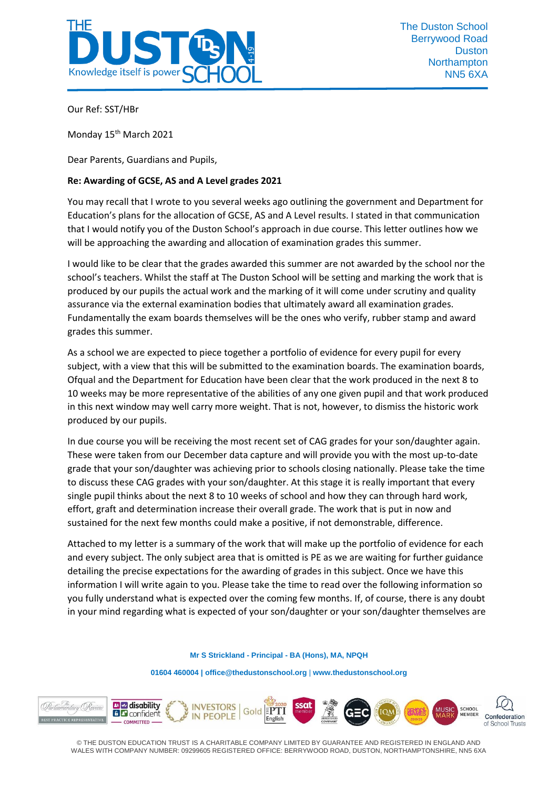

Our Ref: SST/HBr

Monday 15<sup>th</sup> March 2021

Dear Parents, Guardians and Pupils,

### **Re: Awarding of GCSE, AS and A Level grades 2021**

You may recall that I wrote to you several weeks ago outlining the government and Department for Education's plans for the allocation of GCSE, AS and A Level results. I stated in that communication that I would notify you of the Duston School's approach in due course. This letter outlines how we will be approaching the awarding and allocation of examination grades this summer.

I would like to be clear that the grades awarded this summer are not awarded by the school nor the school's teachers. Whilst the staff at The Duston School will be setting and marking the work that is produced by our pupils the actual work and the marking of it will come under scrutiny and quality assurance via the external examination bodies that ultimately award all examination grades. Fundamentally the exam boards themselves will be the ones who verify, rubber stamp and award grades this summer.

As a school we are expected to piece together a portfolio of evidence for every pupil for every subject, with a view that this will be submitted to the examination boards. The examination boards, Ofqual and the Department for Education have been clear that the work produced in the next 8 to 10 weeks may be more representative of the abilities of any one given pupil and that work produced in this next window may well carry more weight. That is not, however, to dismiss the historic work produced by our pupils.

In due course you will be receiving the most recent set of CAG grades for your son/daughter again. These were taken from our December data capture and will provide you with the most up-to-date grade that your son/daughter was achieving prior to schools closing nationally. Please take the time to discuss these CAG grades with your son/daughter. At this stage it is really important that every single pupil thinks about the next 8 to 10 weeks of school and how they can through hard work, effort, graft and determination increase their overall grade. The work that is put in now and sustained for the next few months could make a positive, if not demonstrable, difference.

Attached to my letter is a summary of the work that will make up the portfolio of evidence for each and every subject. The only subject area that is omitted is PE as we are waiting for further guidance detailing the precise expectations for the awarding of grades in this subject. Once we have this information I will write again to you. Please take the time to read over the following information so you fully understand what is expected over the coming few months. If, of course, there is any doubt in your mind regarding what is expected of your son/daughter or your son/daughter themselves are

**Mr S Strickland - Principal - BA (Hons), MA, NPQH**

**01604 460004 [| office@thedustonschool.org](mailto:office@thedustonschool.org)** | **[www.thedustonschool.org](http://www.thedustonschool.org/)**

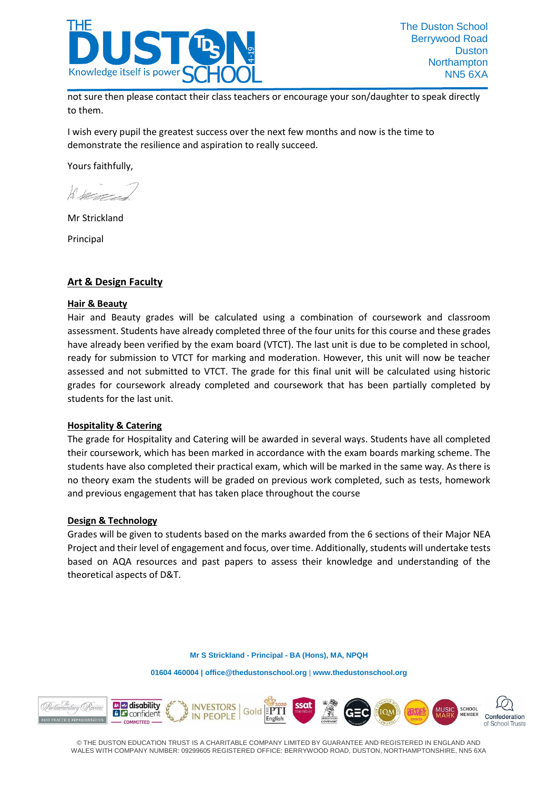

not sure then please contact their class teachers or encourage your son/daughter to speak directly to them.

I wish every pupil the greatest success over the next few months and now is the time to demonstrate the resilience and aspiration to really succeed.

Yours faithfully,

 $k \sim$ 

Mr Strickland

Principal

## **Art & Design Faculty**

#### **Hair & Beauty**

Hair and Beauty grades will be calculated using a combination of coursework and classroom assessment. Students have already completed three of the four units for this course and these grades have already been verified by the exam board (VTCT). The last unit is due to be completed in school, ready for submission to VTCT for marking and moderation. However, this unit will now be teacher assessed and not submitted to VTCT. The grade for this final unit will be calculated using historic grades for coursework already completed and coursework that has been partially completed by students for the last unit.

#### **Hospitality & Catering**

The grade for Hospitality and Catering will be awarded in several ways. Students have all completed their coursework, which has been marked in accordance with the exam boards marking scheme. The students have also completed their practical exam, which will be marked in the same way. As there is no theory exam the students will be graded on previous work completed, such as tests, homework and previous engagement that has taken place throughout the course

#### **Design & Technology**

Grades will be given to students based on the marks awarded from the 6 sections of their Major NEA Project and their level of engagement and focus, over time. Additionally, students will undertake tests based on AQA resources and past papers to assess their knowledge and understanding of the theoretical aspects of D&T.

**Mr S Strickland - Principal - BA (Hons), MA, NPQH**

**01604 460004 [| office@thedustonschool.org](mailto:office@thedustonschool.org)** | **[www.thedustonschool.org](http://www.thedustonschool.org/)**

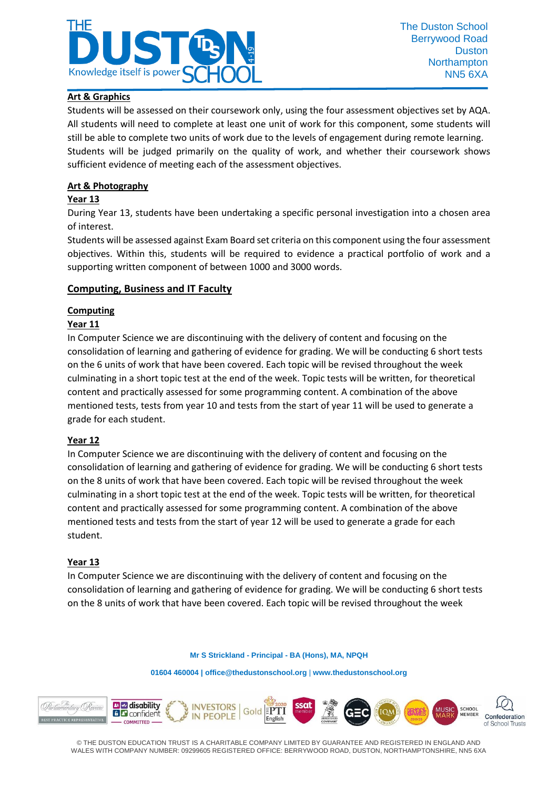

## **Art & Graphics**

Students will be assessed on their coursework only, using the four assessment objectives set by AQA. All students will need to complete at least one unit of work for this component, some students will still be able to complete two units of work due to the levels of engagement during remote learning. Students will be judged primarily on the quality of work, and whether their coursework shows sufficient evidence of meeting each of the assessment objectives.

### **Art & Photography**

### **Year 13**

During Year 13, students have been undertaking a specific personal investigation into a chosen area of interest.

Students will be assessed against Exam Board set criteria on this component using the four assessment objectives. Within this, students will be required to evidence a practical portfolio of work and a supporting written component of between 1000 and 3000 words.

### **Computing, Business and IT Faculty**

## **Computing**

### **Year 11**

In Computer Science we are discontinuing with the delivery of content and focusing on the consolidation of learning and gathering of evidence for grading. We will be conducting 6 short tests on the 6 units of work that have been covered. Each topic will be revised throughout the week culminating in a short topic test at the end of the week. Topic tests will be written, for theoretical content and practically assessed for some programming content. A combination of the above mentioned tests, tests from year 10 and tests from the start of year 11 will be used to generate a grade for each student.

#### **Year 12**

In Computer Science we are discontinuing with the delivery of content and focusing on the consolidation of learning and gathering of evidence for grading. We will be conducting 6 short tests on the 8 units of work that have been covered. Each topic will be revised throughout the week culminating in a short topic test at the end of the week. Topic tests will be written, for theoretical content and practically assessed for some programming content. A combination of the above mentioned tests and tests from the start of year 12 will be used to generate a grade for each student.

#### **Year 13**

In Computer Science we are discontinuing with the delivery of content and focusing on the consolidation of learning and gathering of evidence for grading. We will be conducting 6 short tests on the 8 units of work that have been covered. Each topic will be revised throughout the week

**Mr S Strickland - Principal - BA (Hons), MA, NPQH**

**01604 460004 [| office@thedustonschool.org](mailto:office@thedustonschool.org)** | **[www.thedustonschool.org](http://www.thedustonschool.org/)**

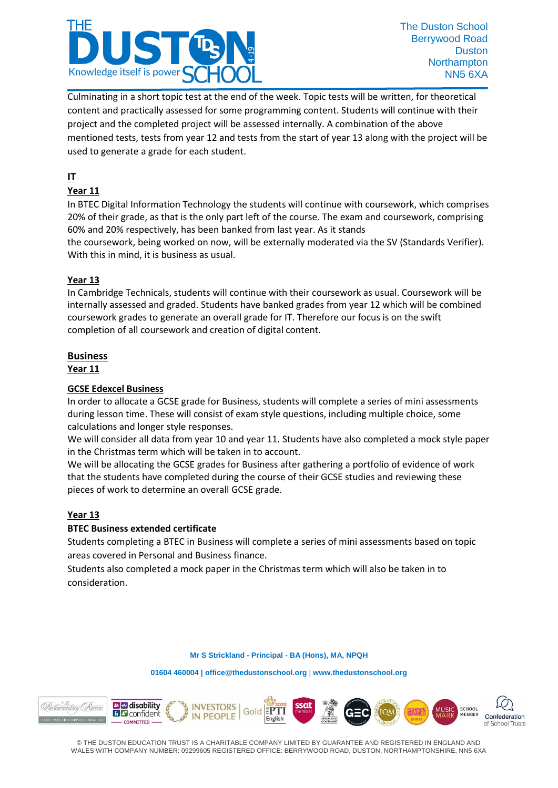

Culminating in a short topic test at the end of the week. Topic tests will be written, for theoretical content and practically assessed for some programming content. Students will continue with their project and the completed project will be assessed internally. A combination of the above mentioned tests, tests from year 12 and tests from the start of year 13 along with the project will be used to generate a grade for each student.

# **IT**

## **Year 11**

In BTEC Digital Information Technology the students will continue with coursework, which comprises 20% of their grade, as that is the only part left of the course. The exam and coursework, comprising 60% and 20% respectively, has been banked from last year. As it stands the coursework, being worked on now, will be externally moderated via the SV (Standards Verifier). With this in mind, it is business as usual.

## **Year 13**

In Cambridge Technicals, students will continue with their coursework as usual. Coursework will be internally assessed and graded. Students have banked grades from year 12 which will be combined coursework grades to generate an overall grade for IT. Therefore our focus is on the swift completion of all coursework and creation of digital content.

## **Business**

**Year 11**

## **GCSE Edexcel Business**

In order to allocate a GCSE grade for Business, students will complete a series of mini assessments during lesson time. These will consist of exam style questions, including multiple choice, some calculations and longer style responses.

We will consider all data from year 10 and year 11. Students have also completed a mock style paper in the Christmas term which will be taken in to account.

We will be allocating the GCSE grades for Business after gathering a portfolio of evidence of work that the students have completed during the course of their GCSE studies and reviewing these pieces of work to determine an overall GCSE grade.

## **Year 13**

## **BTEC Business extended certificate**

Students completing a BTEC in Business will complete a series of mini assessments based on topic areas covered in Personal and Business finance.

Students also completed a mock paper in the Christmas term which will also be taken in to consideration.

#### **Mr S Strickland - Principal - BA (Hons), MA, NPQH**

**01604 460004 [| office@thedustonschool.org](mailto:office@thedustonschool.org)** | **[www.thedustonschool.org](http://www.thedustonschool.org/)**

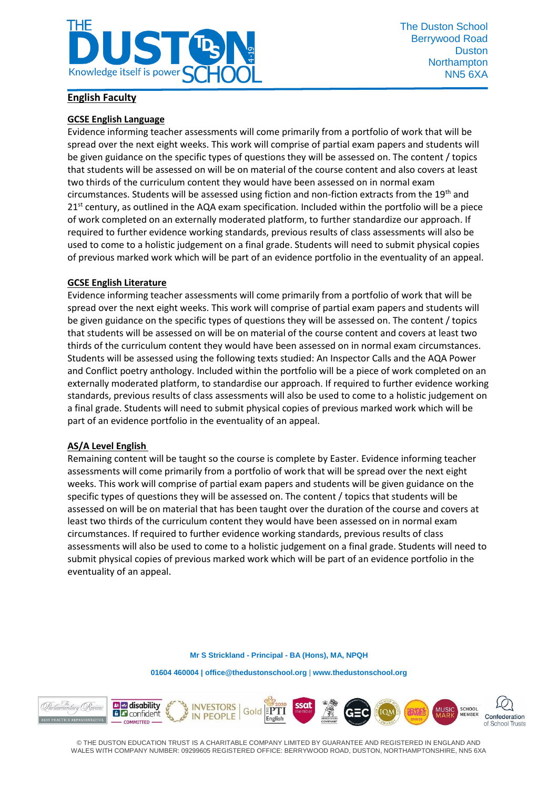

### **English Faculty**

### **GCSE English Language**

Evidence informing teacher assessments will come primarily from a portfolio of work that will be spread over the next eight weeks. This work will comprise of partial exam papers and students will be given guidance on the specific types of questions they will be assessed on. The content / topics that students will be assessed on will be on material of the course content and also covers at least two thirds of the curriculum content they would have been assessed on in normal exam circumstances. Students will be assessed using fiction and non-fiction extracts from the 19<sup>th</sup> and  $21<sup>st</sup>$  century, as outlined in the AQA exam specification. Included within the portfolio will be a piece of work completed on an externally moderated platform, to further standardize our approach. If required to further evidence working standards, previous results of class assessments will also be used to come to a holistic judgement on a final grade. Students will need to submit physical copies of previous marked work which will be part of an evidence portfolio in the eventuality of an appeal.

#### **GCSE English Literature**

Evidence informing teacher assessments will come primarily from a portfolio of work that will be spread over the next eight weeks. This work will comprise of partial exam papers and students will be given guidance on the specific types of questions they will be assessed on. The content / topics that students will be assessed on will be on material of the course content and covers at least two thirds of the curriculum content they would have been assessed on in normal exam circumstances. Students will be assessed using the following texts studied: An Inspector Calls and the AQA Power and Conflict poetry anthology. Included within the portfolio will be a piece of work completed on an externally moderated platform, to standardise our approach. If required to further evidence working standards, previous results of class assessments will also be used to come to a holistic judgement on a final grade. Students will need to submit physical copies of previous marked work which will be part of an evidence portfolio in the eventuality of an appeal.

#### **AS/A Level English**

Remaining content will be taught so the course is complete by Easter. Evidence informing teacher assessments will come primarily from a portfolio of work that will be spread over the next eight weeks. This work will comprise of partial exam papers and students will be given guidance on the specific types of questions they will be assessed on. The content / topics that students will be assessed on will be on material that has been taught over the duration of the course and covers at least two thirds of the curriculum content they would have been assessed on in normal exam circumstances. If required to further evidence working standards, previous results of class assessments will also be used to come to a holistic judgement on a final grade. Students will need to submit physical copies of previous marked work which will be part of an evidence portfolio in the eventuality of an appeal.

**Mr S Strickland - Principal - BA (Hons), MA, NPQH**

**01604 460004 [| office@thedustonschool.org](mailto:office@thedustonschool.org)** | **[www.thedustonschool.org](http://www.thedustonschool.org/)**

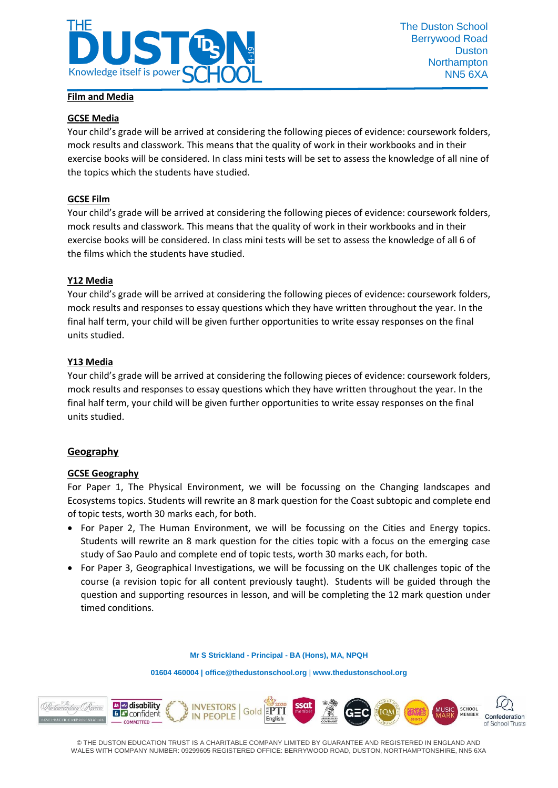

#### **GCSE Media**

Your child's grade will be arrived at considering the following pieces of evidence: coursework folders, mock results and classwork. This means that the quality of work in their workbooks and in their exercise books will be considered. In class mini tests will be set to assess the knowledge of all nine of the topics which the students have studied.

#### **GCSE Film**

Your child's grade will be arrived at considering the following pieces of evidence: coursework folders, mock results and classwork. This means that the quality of work in their workbooks and in their exercise books will be considered. In class mini tests will be set to assess the knowledge of all 6 of the films which the students have studied.

#### **Y12 Media**

Your child's grade will be arrived at considering the following pieces of evidence: coursework folders, mock results and responses to essay questions which they have written throughout the year. In the final half term, your child will be given further opportunities to write essay responses on the final units studied.

#### **Y13 Media**

Your child's grade will be arrived at considering the following pieces of evidence: coursework folders, mock results and responses to essay questions which they have written throughout the year. In the final half term, your child will be given further opportunities to write essay responses on the final units studied.

#### **Geography**

#### **GCSE Geography**

For Paper 1, The Physical Environment, we will be focussing on the Changing landscapes and Ecosystems topics. Students will rewrite an 8 mark question for the Coast subtopic and complete end of topic tests, worth 30 marks each, for both.

- For Paper 2, The Human Environment, we will be focussing on the Cities and Energy topics. Students will rewrite an 8 mark question for the cities topic with a focus on the emerging case study of Sao Paulo and complete end of topic tests, worth 30 marks each, for both.
- For Paper 3, Geographical Investigations, we will be focussing on the UK challenges topic of the course (a revision topic for all content previously taught). Students will be guided through the question and supporting resources in lesson, and will be completing the 12 mark question under timed conditions.

#### **Mr S Strickland - Principal - BA (Hons), MA, NPQH**

**01604 460004 [| office@thedustonschool.org](mailto:office@thedustonschool.org)** | **[www.thedustonschool.org](http://www.thedustonschool.org/)**

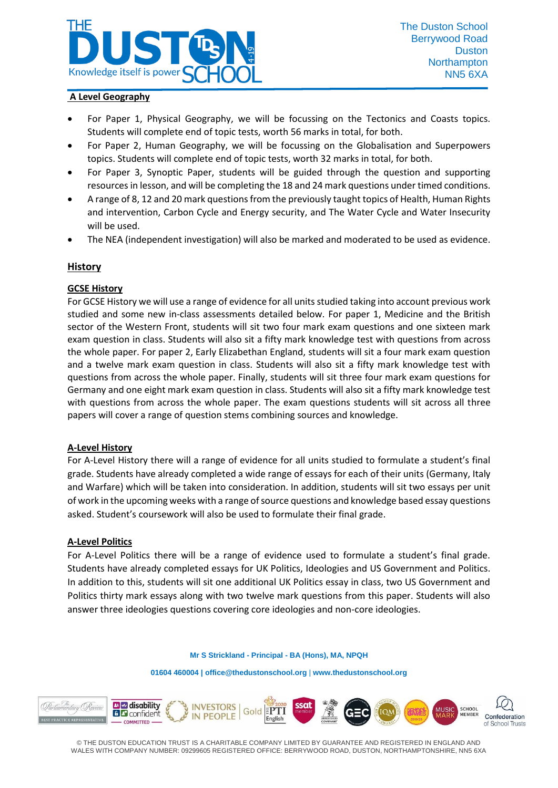

### **A Level Geography**

- For Paper 1, Physical Geography, we will be focussing on the Tectonics and Coasts topics. Students will complete end of topic tests, worth 56 marks in total, for both.
- For Paper 2, Human Geography, we will be focussing on the Globalisation and Superpowers topics. Students will complete end of topic tests, worth 32 marks in total, for both.
- For Paper 3, Synoptic Paper, students will be guided through the question and supporting resources in lesson, and will be completing the 18 and 24 mark questions under timed conditions.
- A range of 8, 12 and 20 mark questions from the previously taught topics of Health, Human Rights and intervention, Carbon Cycle and Energy security, and The Water Cycle and Water Insecurity will be used.
- The NEA (independent investigation) will also be marked and moderated to be used as evidence.

### **History**

### **GCSE History**

For GCSE History we will use a range of evidence for all units studied taking into account previous work studied and some new in-class assessments detailed below. For paper 1, Medicine and the British sector of the Western Front, students will sit two four mark exam questions and one sixteen mark exam question in class. Students will also sit a fifty mark knowledge test with questions from across the whole paper. For paper 2, Early Elizabethan England, students will sit a four mark exam question and a twelve mark exam question in class. Students will also sit a fifty mark knowledge test with questions from across the whole paper. Finally, students will sit three four mark exam questions for Germany and one eight mark exam question in class. Students will also sit a fifty mark knowledge test with questions from across the whole paper. The exam questions students will sit across all three papers will cover a range of question stems combining sources and knowledge.

#### **A-Level History**

For A-Level History there will a range of evidence for all units studied to formulate a student's final grade. Students have already completed a wide range of essays for each of their units (Germany, Italy and Warfare) which will be taken into consideration. In addition, students will sit two essays per unit of work in the upcoming weeks with a range of source questions and knowledge based essay questions asked. Student's coursework will also be used to formulate their final grade.

#### **A-Level Politics**

For A-Level Politics there will be a range of evidence used to formulate a student's final grade. Students have already completed essays for UK Politics, Ideologies and US Government and Politics. In addition to this, students will sit one additional UK Politics essay in class, two US Government and Politics thirty mark essays along with two twelve mark questions from this paper. Students will also answer three ideologies questions covering core ideologies and non-core ideologies.

**Mr S Strickland - Principal - BA (Hons), MA, NPQH**

**01604 460004 [| office@thedustonschool.org](mailto:office@thedustonschool.org)** | **[www.thedustonschool.org](http://www.thedustonschool.org/)**

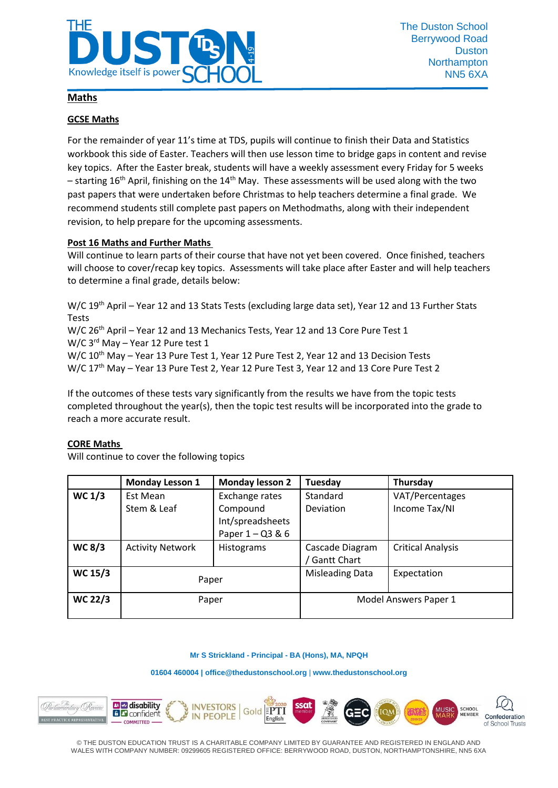

### **Maths**

#### **GCSE Maths**

For the remainder of year 11's time at TDS, pupils will continue to finish their Data and Statistics workbook this side of Easter. Teachers will then use lesson time to bridge gaps in content and revise key topics. After the Easter break, students will have a weekly assessment every Friday for 5 weeks – starting 16<sup>th</sup> April, finishing on the 14<sup>th</sup> May. These assessments will be used along with the two past papers that were undertaken before Christmas to help teachers determine a final grade. We recommend students still complete past papers on Methodmaths, along with their independent revision, to help prepare for the upcoming assessments.

#### **Post 16 Maths and Further Maths**

Will continue to learn parts of their course that have not yet been covered. Once finished, teachers will choose to cover/recap key topics. Assessments will take place after Easter and will help teachers to determine a final grade, details below:

W/C 19<sup>th</sup> April – Year 12 and 13 Stats Tests (excluding large data set), Year 12 and 13 Further Stats Tests

W/C 26<sup>th</sup> April – Year 12 and 13 Mechanics Tests, Year 12 and 13 Core Pure Test 1 W/C 3<sup>rd</sup> May - Year 12 Pure test 1

W/C 10<sup>th</sup> May – Year 13 Pure Test 1, Year 12 Pure Test 2, Year 12 and 13 Decision Tests W/C 17<sup>th</sup> May - Year 13 Pure Test 2, Year 12 Pure Test 3, Year 12 and 13 Core Pure Test 2

If the outcomes of these tests vary significantly from the results we have from the topic tests completed throughout the year(s), then the topic test results will be incorporated into the grade to reach a more accurate result.

#### **CORE Maths**

Will continue to cover the following topics

|                | <b>Monday Lesson 1</b>  | <b>Monday lesson 2</b> | Tuesday                | Thursday                 |
|----------------|-------------------------|------------------------|------------------------|--------------------------|
| WC $1/3$       | Est Mean                | Exchange rates         | Standard               | VAT/Percentages          |
|                | Stem & Leaf             | Compound               | Deviation              | Income Tax/NI            |
|                |                         | Int/spreadsheets       |                        |                          |
|                |                         | Paper $1 - Q3 & 6$     |                        |                          |
| <b>WC 8/3</b>  | <b>Activity Network</b> | Histograms             | Cascade Diagram        | <b>Critical Analysis</b> |
|                |                         |                        | <b>Gantt Chart</b>     |                          |
| <b>WC 15/3</b> | Paper                   |                        | <b>Misleading Data</b> | Expectation              |
|                |                         |                        |                        |                          |
| <b>WC 22/3</b> | Paper                   |                        | Model Answers Paper 1  |                          |
|                |                         |                        |                        |                          |

#### **Mr S Strickland - Principal - BA (Hons), MA, NPQH**

#### **01604 460004 [| office@thedustonschool.org](mailto:office@thedustonschool.org)** | **[www.thedustonschool.org](http://www.thedustonschool.org/)**

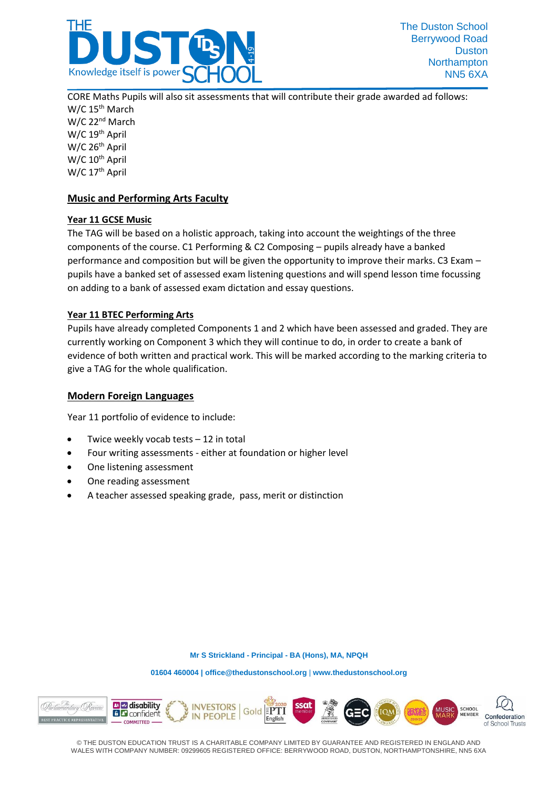

CORE Maths Pupils will also sit assessments that will contribute their grade awarded ad follows:  $W/C$  15<sup>th</sup> March W/C 22nd March W/C 19<sup>th</sup> April W/C 26<sup>th</sup> April W/C 10<sup>th</sup> April W/C 17<sup>th</sup> April

## **Music and Performing Arts Faculty**

#### **Year 11 GCSE Music**

The TAG will be based on a holistic approach, taking into account the weightings of the three components of the course. C1 Performing & C2 Composing – pupils already have a banked performance and composition but will be given the opportunity to improve their marks. C3 Exam – pupils have a banked set of assessed exam listening questions and will spend lesson time focussing on adding to a bank of assessed exam dictation and essay questions.

#### **Year 11 BTEC Performing Arts**

Pupils have already completed Components 1 and 2 which have been assessed and graded. They are currently working on Component 3 which they will continue to do, in order to create a bank of evidence of both written and practical work. This will be marked according to the marking criteria to give a TAG for the whole qualification.

#### **Modern Foreign Languages**

Year 11 portfolio of evidence to include:

- Twice weekly vocab tests 12 in total
- Four writing assessments either at foundation or higher level
- One listening assessment
- One reading assessment
- A teacher assessed speaking grade, pass, merit or distinction

**Mr S Strickland - Principal - BA (Hons), MA, NPQH**

**01604 460004 [| office@thedustonschool.org](mailto:office@thedustonschool.org)** | **[www.thedustonschool.org](http://www.thedustonschool.org/)**

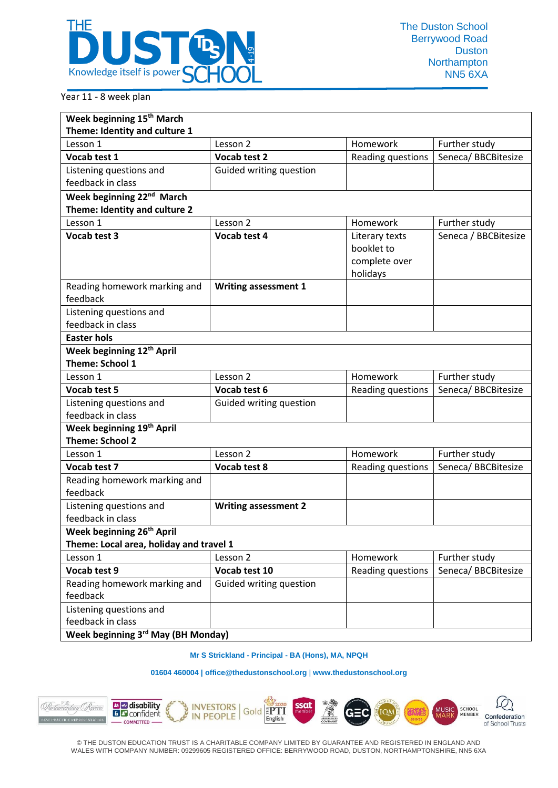

### Year 11 - 8 week plan

| Week beginning 15 <sup>th</sup> March        |                             |                   |                      |  |  |  |  |  |
|----------------------------------------------|-----------------------------|-------------------|----------------------|--|--|--|--|--|
| Theme: Identity and culture 1                |                             |                   |                      |  |  |  |  |  |
| Lesson 1                                     | Lesson 2                    | Homework          | Further study        |  |  |  |  |  |
| Vocab test 1                                 | Vocab test 2                | Reading questions | Seneca/ BBCBitesize  |  |  |  |  |  |
| Listening questions and                      | Guided writing question     |                   |                      |  |  |  |  |  |
| feedback in class                            |                             |                   |                      |  |  |  |  |  |
| Week beginning 22 <sup>nd</sup> March        |                             |                   |                      |  |  |  |  |  |
| Theme: Identity and culture 2                |                             |                   |                      |  |  |  |  |  |
| Lesson 1                                     | Lesson 2                    | Homework          | Further study        |  |  |  |  |  |
| Vocab test 3                                 | Vocab test 4                | Literary texts    | Seneca / BBCBitesize |  |  |  |  |  |
|                                              |                             | booklet to        |                      |  |  |  |  |  |
|                                              |                             | complete over     |                      |  |  |  |  |  |
|                                              |                             | holidays          |                      |  |  |  |  |  |
| Reading homework marking and<br>feedback     | <b>Writing assessment 1</b> |                   |                      |  |  |  |  |  |
| Listening questions and                      |                             |                   |                      |  |  |  |  |  |
| feedback in class                            |                             |                   |                      |  |  |  |  |  |
| <b>Easter hols</b>                           |                             |                   |                      |  |  |  |  |  |
| Week beginning 12 <sup>th</sup> April        |                             |                   |                      |  |  |  |  |  |
| <b>Theme: School 1</b>                       |                             |                   |                      |  |  |  |  |  |
| Lesson 1                                     | Lesson 2                    | Homework          | Further study        |  |  |  |  |  |
| Vocab test 5                                 | Vocab test 6                | Reading questions | Seneca/BBCBitesize   |  |  |  |  |  |
| Listening questions and                      | Guided writing question     |                   |                      |  |  |  |  |  |
| feedback in class                            |                             |                   |                      |  |  |  |  |  |
| Week beginning 19th April                    |                             |                   |                      |  |  |  |  |  |
| <b>Theme: School 2</b>                       |                             |                   |                      |  |  |  |  |  |
| Lesson 1                                     | Lesson 2                    | Homework          | Further study        |  |  |  |  |  |
| Vocab test 7                                 | Vocab test 8                | Reading questions | Seneca/BBCBitesize   |  |  |  |  |  |
| Reading homework marking and<br>feedback     |                             |                   |                      |  |  |  |  |  |
| Listening questions and                      | <b>Writing assessment 2</b> |                   |                      |  |  |  |  |  |
| feedback in class                            |                             |                   |                      |  |  |  |  |  |
| Week beginning 26 <sup>th</sup> April        |                             |                   |                      |  |  |  |  |  |
| Theme: Local area, holiday and travel 1      |                             |                   |                      |  |  |  |  |  |
| Lesson 1                                     | Lesson 2                    | Homework          | Further study        |  |  |  |  |  |
| Vocab test 9                                 | Vocab test 10               | Reading questions | Seneca/BBCBitesize   |  |  |  |  |  |
| Reading homework marking and                 | Guided writing question     |                   |                      |  |  |  |  |  |
| feedback                                     |                             |                   |                      |  |  |  |  |  |
| Listening questions and<br>feedback in class |                             |                   |                      |  |  |  |  |  |
| Week beginning 3rd May (BH Monday)           |                             |                   |                      |  |  |  |  |  |

#### **Mr S Strickland - Principal - BA (Hons), MA, NPQH**

#### **01604 460004 [| office@thedustonschool.org](mailto:office@thedustonschool.org)** | **[www.thedustonschool.org](http://www.thedustonschool.org/)**

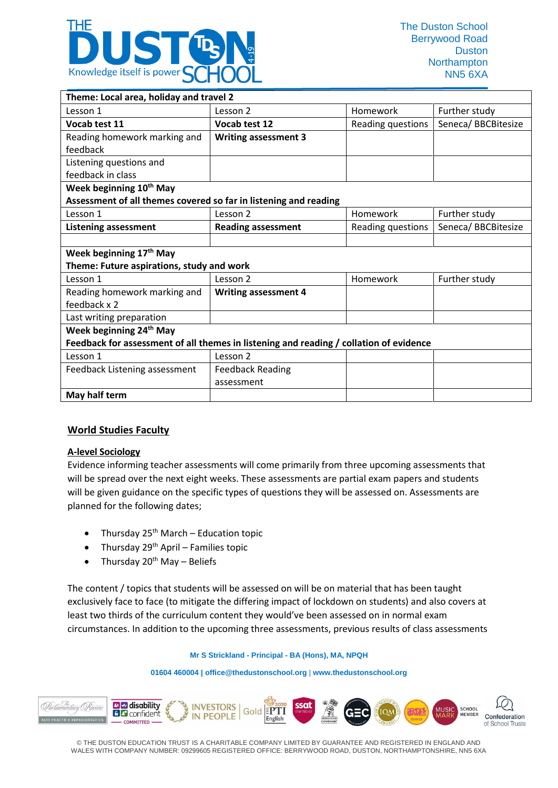

| Theme: Local area, holiday and travel 2                                                |                             |                   |                    |  |  |  |  |
|----------------------------------------------------------------------------------------|-----------------------------|-------------------|--------------------|--|--|--|--|
| Lesson 1                                                                               | Lesson 2                    | Homework          | Further study      |  |  |  |  |
| Vocab test 11                                                                          | Vocab test 12               | Reading questions | Seneca/BBCBitesize |  |  |  |  |
| Reading homework marking and                                                           | <b>Writing assessment 3</b> |                   |                    |  |  |  |  |
| feedback                                                                               |                             |                   |                    |  |  |  |  |
| Listening questions and                                                                |                             |                   |                    |  |  |  |  |
| feedback in class                                                                      |                             |                   |                    |  |  |  |  |
| Week beginning 10 <sup>th</sup> May                                                    |                             |                   |                    |  |  |  |  |
| Assessment of all themes covered so far in listening and reading                       |                             |                   |                    |  |  |  |  |
| Lesson 1                                                                               | Lesson 2                    | Homework          | Further study      |  |  |  |  |
| <b>Listening assessment</b>                                                            | <b>Reading assessment</b>   | Reading questions | Seneca/BBCBitesize |  |  |  |  |
|                                                                                        |                             |                   |                    |  |  |  |  |
| Week beginning 17th May                                                                |                             |                   |                    |  |  |  |  |
| Theme: Future aspirations, study and work                                              |                             |                   |                    |  |  |  |  |
| Lesson 1                                                                               | Lesson 2                    | Homework          | Further study      |  |  |  |  |
| Reading homework marking and                                                           | <b>Writing assessment 4</b> |                   |                    |  |  |  |  |
| feedback x 2                                                                           |                             |                   |                    |  |  |  |  |
| Last writing preparation                                                               |                             |                   |                    |  |  |  |  |
| Week beginning 24 <sup>th</sup> May                                                    |                             |                   |                    |  |  |  |  |
| Feedback for assessment of all themes in listening and reading / collation of evidence |                             |                   |                    |  |  |  |  |
| Lesson 1                                                                               | Lesson 2                    |                   |                    |  |  |  |  |
| Feedback Listening assessment                                                          | <b>Feedback Reading</b>     |                   |                    |  |  |  |  |
|                                                                                        | assessment                  |                   |                    |  |  |  |  |
| May half term                                                                          |                             |                   |                    |  |  |  |  |

## **World Studies Faculty**

#### **A-level Sociology**

Evidence informing teacher assessments will come primarily from three upcoming assessments that will be spread over the next eight weeks. These assessments are partial exam papers and students will be given guidance on the specific types of questions they will be assessed on. Assessments are planned for the following dates;

- Thursday  $25<sup>th</sup>$  March Education topic
- Thursday  $29<sup>th</sup>$  April Families topic
- Thursday  $20<sup>th</sup>$  May Beliefs

The content / topics that students will be assessed on will be on material that has been taught exclusively face to face (to mitigate the differing impact of lockdown on students) and also covers at least two thirds of the curriculum content they would've been assessed on in normal exam circumstances. In addition to the upcoming three assessments, previous results of class assessments

#### **Mr S Strickland - Principal - BA (Hons), MA, NPQH**

**01604 460004 [| office@thedustonschool.org](mailto:office@thedustonschool.org)** | **[www.thedustonschool.org](http://www.thedustonschool.org/)**

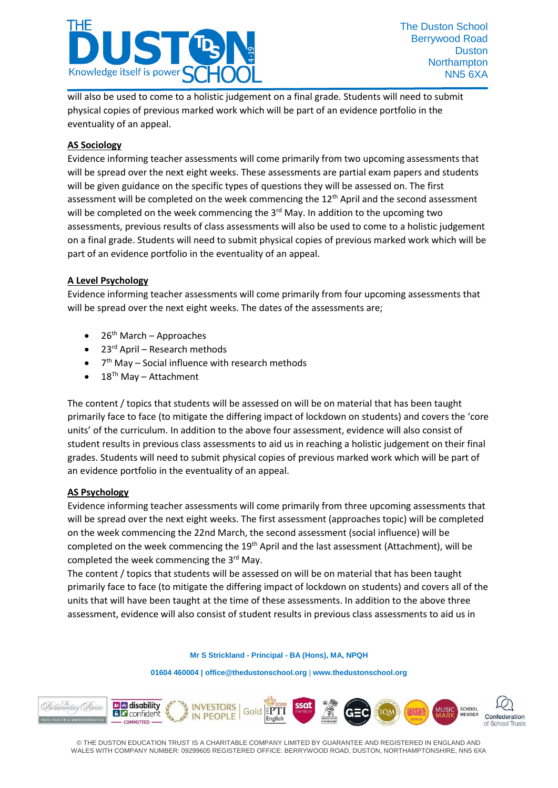

will also be used to come to a holistic judgement on a final grade. Students will need to submit physical copies of previous marked work which will be part of an evidence portfolio in the eventuality of an appeal.

### **AS Sociology**

Evidence informing teacher assessments will come primarily from two upcoming assessments that will be spread over the next eight weeks. These assessments are partial exam papers and students will be given guidance on the specific types of questions they will be assessed on. The first assessment will be completed on the week commencing the  $12<sup>th</sup>$  April and the second assessment will be completed on the week commencing the 3<sup>rd</sup> May. In addition to the upcoming two assessments, previous results of class assessments will also be used to come to a holistic judgement on a final grade. Students will need to submit physical copies of previous marked work which will be part of an evidence portfolio in the eventuality of an appeal.

#### **A Level Psychology**

Evidence informing teacher assessments will come primarily from four upcoming assessments that will be spread over the next eight weeks. The dates of the assessments are;

- $26<sup>th</sup>$  March Approaches
- $\bullet$  23<sup>rd</sup> April Research methods
- 7<sup>th</sup> May Social influence with research methods
- $\bullet$  18<sup>Th</sup> May Attachment

The content / topics that students will be assessed on will be on material that has been taught primarily face to face (to mitigate the differing impact of lockdown on students) and covers the 'core units' of the curriculum. In addition to the above four assessment, evidence will also consist of student results in previous class assessments to aid us in reaching a holistic judgement on their final grades. Students will need to submit physical copies of previous marked work which will be part of an evidence portfolio in the eventuality of an appeal.

#### **AS Psychology**

Evidence informing teacher assessments will come primarily from three upcoming assessments that will be spread over the next eight weeks. The first assessment (approaches topic) will be completed on the week commencing the 22nd March, the second assessment (social influence) will be completed on the week commencing the 19<sup>th</sup> April and the last assessment (Attachment), will be completed the week commencing the 3<sup>rd</sup> May.

The content / topics that students will be assessed on will be on material that has been taught primarily face to face (to mitigate the differing impact of lockdown on students) and covers all of the units that will have been taught at the time of these assessments. In addition to the above three assessment, evidence will also consist of student results in previous class assessments to aid us in

**Mr S Strickland - Principal - BA (Hons), MA, NPQH**

**01604 460004 [| office@thedustonschool.org](mailto:office@thedustonschool.org)** | **[www.thedustonschool.org](http://www.thedustonschool.org/)**

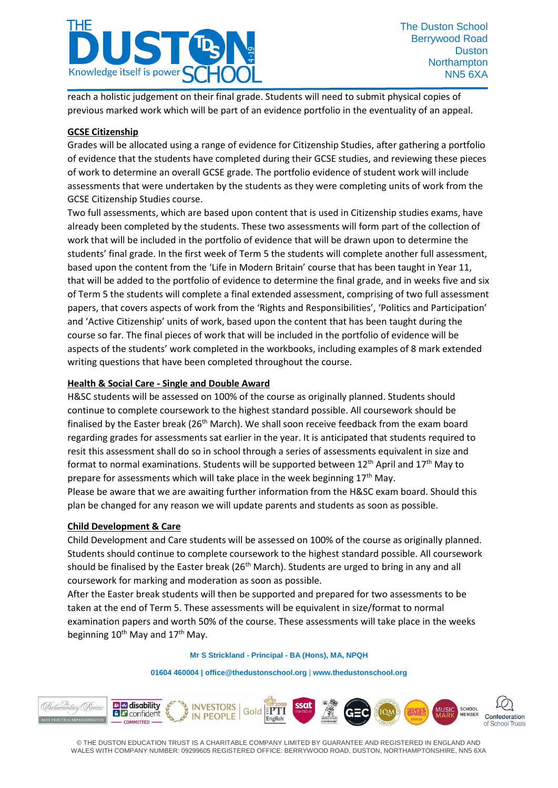

reach a holistic judgement on their final grade. Students will need to submit physical copies of previous marked work which will be part of an evidence portfolio in the eventuality of an appeal.

### **GCSE Citizenship**

Grades will be allocated using a range of evidence for Citizenship Studies, after gathering a portfolio of evidence that the students have completed during their GCSE studies, and reviewing these pieces of work to determine an overall GCSE grade. The portfolio evidence of student work will include assessments that were undertaken by the students as they were completing units of work from the GCSE Citizenship Studies course.

Two full assessments, which are based upon content that is used in Citizenship studies exams, have already been completed by the students. These two assessments will form part of the collection of work that will be included in the portfolio of evidence that will be drawn upon to determine the students' final grade. In the first week of Term 5 the students will complete another full assessment, based upon the content from the 'Life in Modern Britain' course that has been taught in Year 11, that will be added to the portfolio of evidence to determine the final grade, and in weeks five and six of Term 5 the students will complete a final extended assessment, comprising of two full assessment papers, that covers aspects of work from the 'Rights and Responsibilities', 'Politics and Participation' and 'Active Citizenship' units of work, based upon the content that has been taught during the course so far. The final pieces of work that will be included in the portfolio of evidence will be aspects of the students' work completed in the workbooks, including examples of 8 mark extended writing questions that have been completed throughout the course.

### **Health & Social Care - Single and Double Award**

H&SC students will be assessed on 100% of the course as originally planned. Students should continue to complete coursework to the highest standard possible. All coursework should be finalised by the Easter break (26<sup>th</sup> March). We shall soon receive feedback from the exam board regarding grades for assessments sat earlier in the year. It is anticipated that students required to resit this assessment shall do so in school through a series of assessments equivalent in size and format to normal examinations. Students will be supported between  $12<sup>th</sup>$  April and  $17<sup>th</sup>$  May to prepare for assessments which will take place in the week beginning  $17<sup>th</sup>$  May. Please be aware that we are awaiting further information from the H&SC exam board. Should this plan be changed for any reason we will update parents and students as soon as possible.

#### **Child Development & Care**

Child Development and Care students will be assessed on 100% of the course as originally planned. Students should continue to complete coursework to the highest standard possible. All coursework should be finalised by the Easter break ( $26<sup>th</sup>$  March). Students are urged to bring in any and all coursework for marking and moderation as soon as possible.

After the Easter break students will then be supported and prepared for two assessments to be taken at the end of Term 5. These assessments will be equivalent in size/format to normal examination papers and worth 50% of the course. These assessments will take place in the weeks beginning  $10^{th}$  May and  $17^{th}$  May.

#### **Mr S Strickland - Principal - BA (Hons), MA, NPQH**

#### **01604 460004 [| office@thedustonschool.org](mailto:office@thedustonschool.org)** | **[www.thedustonschool.org](http://www.thedustonschool.org/)**

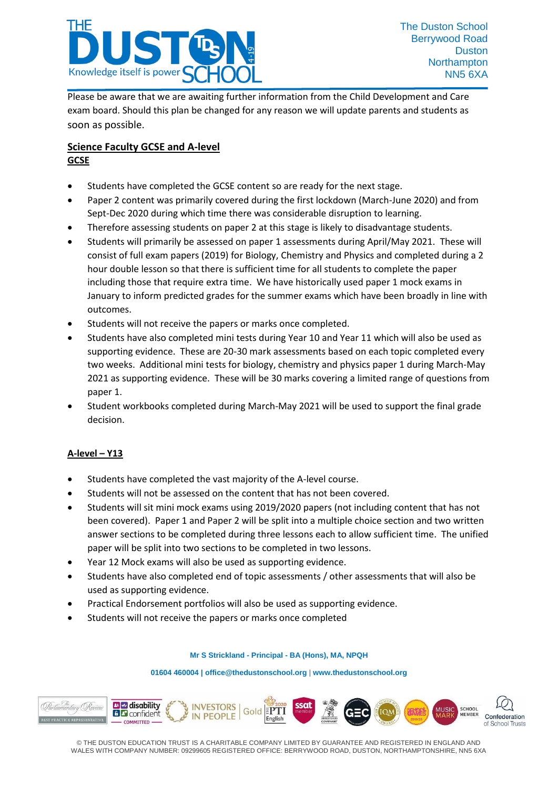

Please be aware that we are awaiting further information from the Child Development and Care exam board. Should this plan be changed for any reason we will update parents and students as soon as possible.

## **Science Faculty GCSE and A-level GCSE**

- Students have completed the GCSE content so are ready for the next stage.
- Paper 2 content was primarily covered during the first lockdown (March-June 2020) and from Sept-Dec 2020 during which time there was considerable disruption to learning.
- Therefore assessing students on paper 2 at this stage is likely to disadvantage students.
- Students will primarily be assessed on paper 1 assessments during April/May 2021. These will consist of full exam papers (2019) for Biology, Chemistry and Physics and completed during a 2 hour double lesson so that there is sufficient time for all students to complete the paper including those that require extra time. We have historically used paper 1 mock exams in January to inform predicted grades for the summer exams which have been broadly in line with outcomes.
- Students will not receive the papers or marks once completed.
- Students have also completed mini tests during Year 10 and Year 11 which will also be used as supporting evidence. These are 20-30 mark assessments based on each topic completed every two weeks. Additional mini tests for biology, chemistry and physics paper 1 during March-May 2021 as supporting evidence. These will be 30 marks covering a limited range of questions from paper 1.
- Student workbooks completed during March-May 2021 will be used to support the final grade decision.

## **A-level – Y13**

- Students have completed the vast majority of the A-level course.
- Students will not be assessed on the content that has not been covered.
- Students will sit mini mock exams using 2019/2020 papers (not including content that has not been covered). Paper 1 and Paper 2 will be split into a multiple choice section and two written answer sections to be completed during three lessons each to allow sufficient time. The unified paper will be split into two sections to be completed in two lessons.
- Year 12 Mock exams will also be used as supporting evidence.
- Students have also completed end of topic assessments / other assessments that will also be used as supporting evidence.
- Practical Endorsement portfolios will also be used as supporting evidence.
- Students will not receive the papers or marks once completed

#### **Mr S Strickland - Principal - BA (Hons), MA, NPQH**

**01604 460004 [| office@thedustonschool.org](mailto:office@thedustonschool.org)** | **[www.thedustonschool.org](http://www.thedustonschool.org/)**